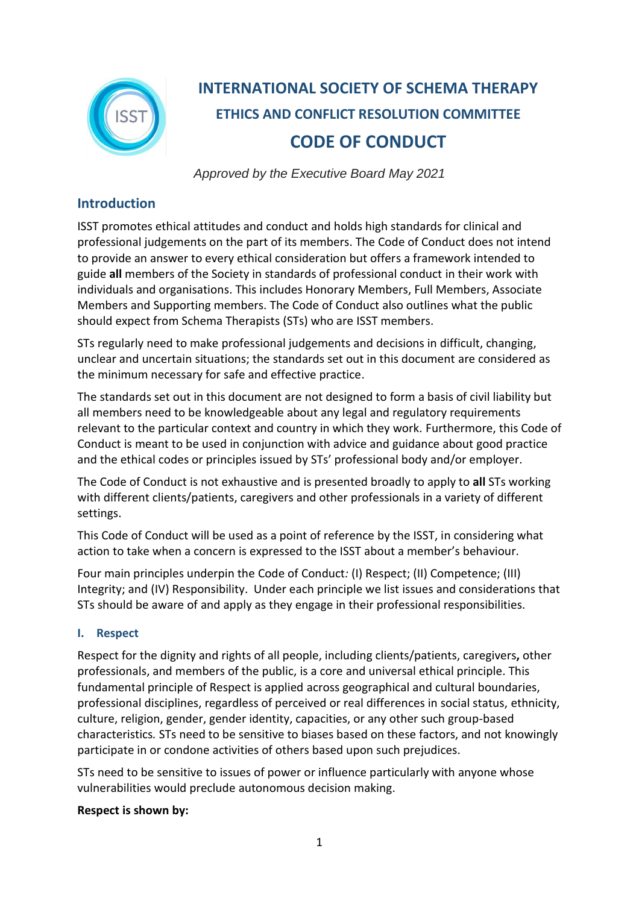

# **INTERNATIONAL SOCIETY OF SCHEMA THERAPY ETHICS AND CONFLICT RESOLUTION COMMITTEE CODE OF CONDUCT**

*Approved by the Executive Board May 2021*

# **Introduction**

ISST promotes ethical attitudes and conduct and holds high standards for clinical and professional judgements on the part of its members. The Code of Conduct does not intend to provide an answer to every ethical consideration but offers a framework intended to guide **all** members of the Society in standards of professional conduct in their work with individuals and organisations. This includes Honorary Members, Full Members, Associate Members and Supporting members. The Code of Conduct also outlines what the public should expect from Schema Therapists (STs) who are ISST members.

STs regularly need to make professional judgements and decisions in difficult, changing, unclear and uncertain situations; the standards set out in this document are considered as the minimum necessary for safe and effective practice.

The standards set out in this document are not designed to form a basis of civil liability but all members need to be knowledgeable about any legal and regulatory requirements relevant to the particular context and country in which they work. Furthermore, this Code of Conduct is meant to be used in conjunction with advice and guidance about good practice and the ethical codes or principles issued by STs' professional body and/or employer.

The Code of Conduct is not exhaustive and is presented broadly to apply to **all** STs working with different clients/patients, caregivers and other professionals in a variety of different settings.

This Code of Conduct will be used as a point of reference by the ISST, in considering what action to take when a concern is expressed to the ISST about a member's behaviour.

Four main principles underpin the Code of Conduct*:* (I) Respect; (II) Competence; (III) Integrity; and (IV) Responsibility. Under each principle we list issues and considerations that STs should be aware of and apply as they engage in their professional responsibilities.

# **I. Respect**

Respect for the dignity and rights of all people, including clients/patients, caregivers**,** other professionals, and members of the public, is a core and universal ethical principle. This fundamental principle of Respect is applied across geographical and cultural boundaries, professional disciplines, regardless of perceived or real differences in social status, ethnicity, culture, religion, gender, gender identity, capacities, or any other such group-based characteristics*.* STs need to be sensitive to biases based on these factors, and not knowingly participate in or condone activities of others based upon such prejudices.

STs need to be sensitive to issues of power or influence particularly with anyone whose vulnerabilities would preclude autonomous decision making.

# **Respect is shown by:**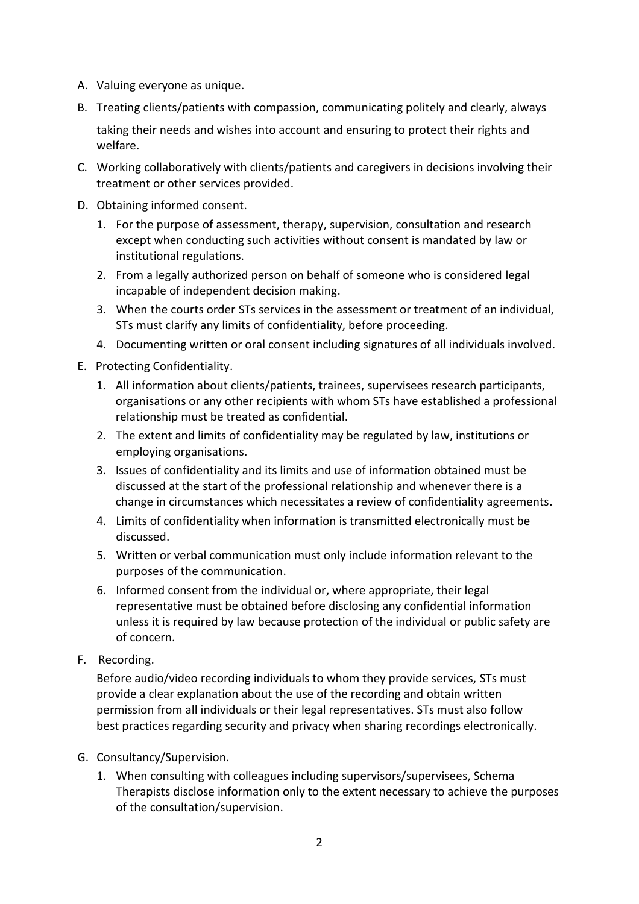- A. Valuing everyone as unique.
- B. Treating clients/patients with compassion, communicating politely and clearly, always taking their needs and wishes into account and ensuring to protect their rights and welfare.
- C. Working collaboratively with clients/patients and caregivers in decisions involving their treatment or other services provided.
- D. Obtaining informed consent.
	- 1. For the purpose of assessment, therapy, supervision, consultation and research except when conducting such activities without consent is mandated by law or institutional regulations.
	- 2. From a legally authorized person on behalf of someone who is considered legal incapable of independent decision making.
	- 3. When the courts order STs services in the assessment or treatment of an individual, STs must clarify any limits of confidentiality, before proceeding.
	- 4. Documenting written or oral consent including signatures of all individuals involved.
- E. Protecting Confidentiality.
	- 1. All information about clients/patients, trainees, supervisees research participants, organisations or any other recipients with whom STs have established a professional relationship must be treated as confidential.
	- 2. The extent and limits of confidentiality may be regulated by law, institutions or employing organisations.
	- 3. Issues of confidentiality and its limits and use of information obtained must be discussed at the start of the professional relationship and whenever there is a change in circumstances which necessitates a review of confidentiality agreements.
	- 4. Limits of confidentiality when information is transmitted electronically must be discussed.
	- 5. Written or verbal communication must only include information relevant to the purposes of the communication.
	- 6. Informed consent from the individual or, where appropriate, their legal representative must be obtained before disclosing any confidential information unless it is required by law because protection of the individual or public safety are of concern.
- F. Recording.

Before audio/video recording individuals to whom they provide services, STs must provide a clear explanation about the use of the recording and obtain written permission from all individuals or their legal representatives. STs must also follow best practices regarding security and privacy when sharing recordings electronically.

- G. Consultancy/Supervision.
	- 1. When consulting with colleagues including supervisors/supervisees, Schema Therapists disclose information only to the extent necessary to achieve the purposes of the consultation/supervision.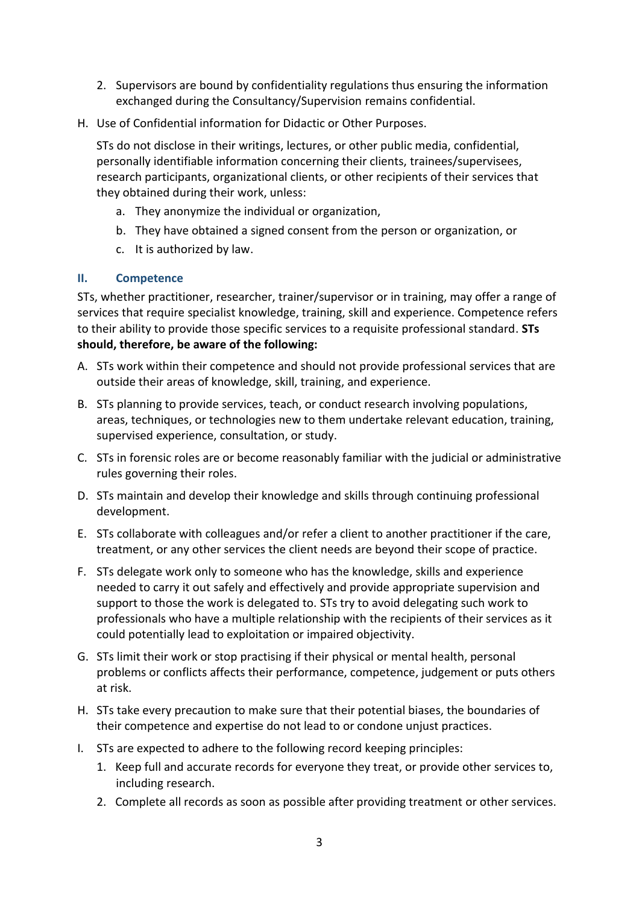- 2. Supervisors are bound by confidentiality regulations thus ensuring the information exchanged during the Consultancy/Supervision remains confidential.
- H. Use of Confidential information for Didactic or Other Purposes.

STs do not disclose in their writings, lectures, or other public media, confidential, personally identifiable information concerning their clients, trainees/supervisees, research participants, organizational clients, or other recipients of their services that they obtained during their work, unless:

- a. They anonymize the individual or organization,
- b. They have obtained a signed consent from the person or organization, or
- c. It is authorized by law.

### **II. Competence**

STs, whether practitioner, researcher, trainer/supervisor or in training, may offer a range of services that require specialist knowledge, training, skill and experience. Competence refers to their ability to provide those specific services to a requisite professional standard. **STs should, therefore, be aware of the following:**

- A. STs work within their competence and should not provide professional services that are outside their areas of knowledge, skill, training, and experience.
- B. STs planning to provide services, teach, or conduct research involving populations, areas, techniques, or technologies new to them undertake relevant education, training, supervised experience, consultation, or study.
- C. STs in forensic roles are or become reasonably familiar with the judicial or administrative rules governing their roles.
- D. STs maintain and develop their knowledge and skills through continuing professional development.
- E. STs collaborate with colleagues and/or refer a client to another practitioner if the care, treatment, or any other services the client needs are beyond their scope of practice.
- F. STs delegate work only to someone who has the knowledge, skills and experience needed to carry it out safely and effectively and provide appropriate supervision and support to those the work is delegated to. STs try to avoid delegating such work to professionals who have a multiple relationship with the recipients of their services as it could potentially lead to exploitation or impaired objectivity.
- G. STs limit their work or stop practising if their physical or mental health, personal problems or conflicts affects their performance, competence, judgement or puts others at risk.
- H. STs take every precaution to make sure that their potential biases, the boundaries of their competence and expertise do not lead to or condone unjust practices.
- I. STs are expected to adhere to the following record keeping principles:
	- 1. Keep full and accurate records for everyone they treat, or provide other services to, including research.
	- 2. Complete all records as soon as possible after providing treatment or other services.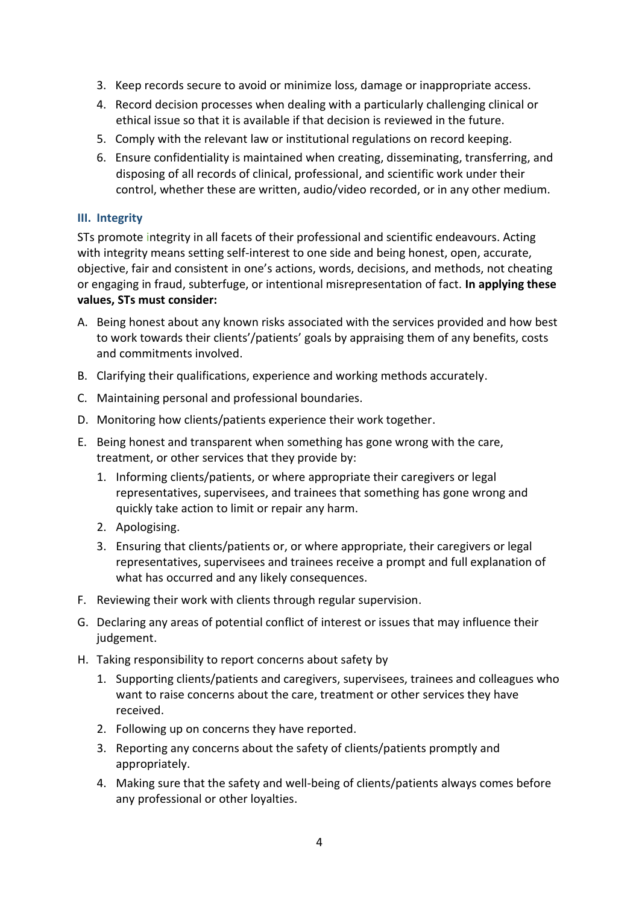- 3. Keep records secure to avoid or minimize loss, damage or inappropriate access.
- 4. Record decision processes when dealing with a particularly challenging clinical or ethical issue so that it is available if that decision is reviewed in the future.
- 5. Comply with the relevant law or institutional regulations on record keeping.
- 6. Ensure confidentiality is maintained when creating, disseminating, transferring, and disposing of all records of clinical, professional, and scientific work under their control, whether these are written, audio/video recorded, or in any other medium.

### **III. Integrity**

STs promote integrity in all facets of their professional and scientific endeavours. Acting with integrity means setting self-interest to one side and being honest, open, accurate, objective, fair and consistent in one's actions, words, decisions, and methods, not cheating or engaging in fraud, subterfuge, or intentional misrepresentation of fact. **In applying these values, STs must consider:**

- A. Being honest about any known risks associated with the services provided and how best to work towards their clients'/patients' goals by appraising them of any benefits, costs and commitments involved.
- B. Clarifying their qualifications, experience and working methods accurately.
- C. Maintaining personal and professional boundaries.
- D. Monitoring how clients/patients experience their work together.
- E. Being honest and transparent when something has gone wrong with the care, treatment, or other services that they provide by:
	- 1. Informing clients/patients, or where appropriate their caregivers or legal representatives, supervisees, and trainees that something has gone wrong and quickly take action to limit or repair any harm.
	- 2. Apologising.
	- 3. Ensuring that clients/patients or, or where appropriate, their caregivers or legal representatives, supervisees and trainees receive a prompt and full explanation of what has occurred and any likely consequences.
- F. Reviewing their work with clients through regular supervision.
- G. Declaring any areas of potential conflict of interest or issues that may influence their judgement.
- H. Taking responsibility to report concerns about safety by
	- 1. Supporting clients/patients and caregivers, supervisees, trainees and colleagues who want to raise concerns about the care, treatment or other services they have received.
	- 2. Following up on concerns they have reported.
	- 3. Reporting any concerns about the safety of clients/patients promptly and appropriately.
	- 4. Making sure that the safety and well-being of clients/patients always comes before any professional or other loyalties.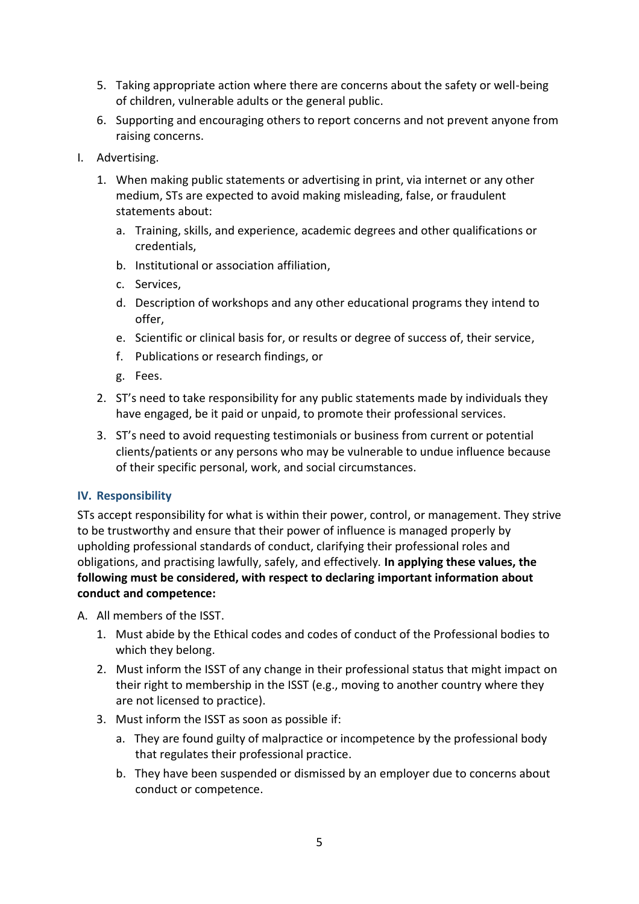- 5. Taking appropriate action where there are concerns about the safety or well-being of children, vulnerable adults or the general public.
- 6. Supporting and encouraging others to report concerns and not prevent anyone from raising concerns.
- I. Advertising.
	- 1. When making public statements or advertising in print, via internet or any other medium, STs are expected to avoid making misleading, false, or fraudulent statements about:
		- a. Training, skills, and experience, academic degrees and other qualifications or credentials,
		- b. Institutional or association affiliation,
		- c. Services,
		- d. Description of workshops and any other educational programs they intend to offer,
		- e. Scientific or clinical basis for, or results or degree of success of, their service,
		- f. Publications or research findings, or
		- g. Fees.
	- 2. ST's need to take responsibility for any public statements made by individuals they have engaged, be it paid or unpaid, to promote their professional services.
	- 3. ST's need to avoid requesting testimonials or business from current or potential clients/patients or any persons who may be vulnerable to undue influence because of their specific personal, work, and social circumstances.

#### **IV. Responsibility**

STs accept responsibility for what is within their power, control, or management. They strive to be trustworthy and ensure that their power of influence is managed properly by upholding professional standards of conduct, clarifying their professional roles and obligations, and practising lawfully, safely, and effectively*.* **In applying these values, the following must be considered, with respect to declaring important information about conduct and competence:**

A. All members of the ISST.

- 1. Must abide by the Ethical codes and codes of conduct of the Professional bodies to which they belong.
- 2. Must inform the ISST of any change in their professional status that might impact on their right to membership in the ISST (e.g., moving to another country where they are not licensed to practice).
- 3. Must inform the ISST as soon as possible if:
	- a. They are found guilty of malpractice or incompetence by the professional body that regulates their professional practice.
	- b. They have been suspended or dismissed by an employer due to concerns about conduct or competence.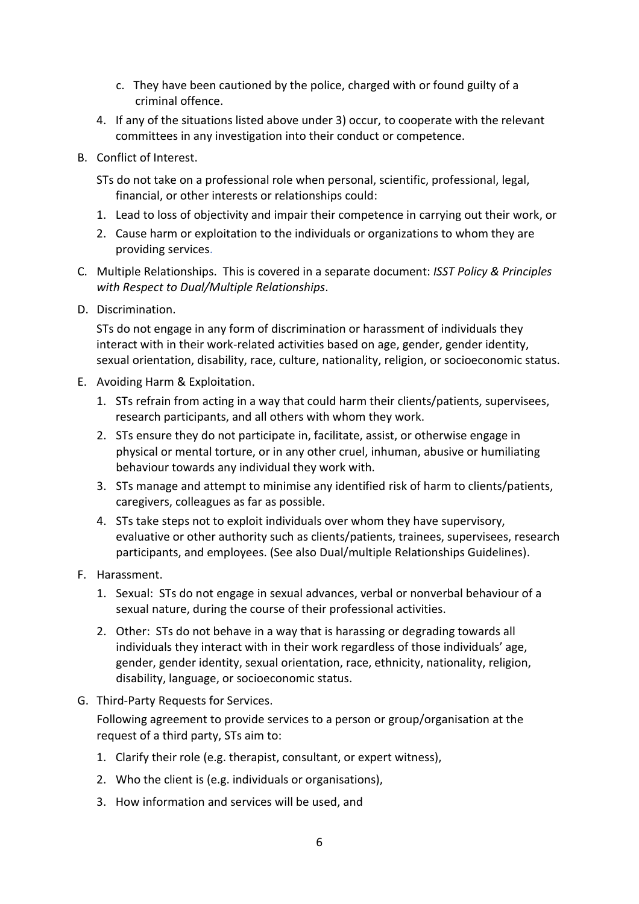- c. They have been cautioned by the police, charged with or found guilty of a criminal offence.
- 4. If any of the situations listed above under 3) occur, to cooperate with the relevant committees in any investigation into their conduct or competence.
- B. Conflict of Interest.
	- STs do not take on a professional role when personal, scientific, professional, legal, financial, or other interests or relationships could:
	- 1. Lead to loss of objectivity and impair their competence in carrying out their work, or
	- 2. Cause harm or exploitation to the individuals or organizations to whom they are providing services.
- C. Multiple Relationships. This is covered in a separate document: *ISST Policy & Principles with Respect to Dual/Multiple Relationships*.
- D. Discrimination.

STs do not engage in any form of discrimination or harassment of individuals they interact with in their work-related activities based on age, gender, gender identity, sexual orientation, disability, race, culture, nationality, religion, or socioeconomic status.

- E. Avoiding Harm & Exploitation.
	- 1. STs refrain from acting in a way that could harm their clients/patients, supervisees, research participants, and all others with whom they work.
	- 2. STs ensure they do not participate in, facilitate, assist, or otherwise engage in physical or mental torture, or in any other cruel, inhuman, abusive or humiliating behaviour towards any individual they work with.
	- 3. STs manage and attempt to minimise any identified risk of harm to clients/patients, caregivers, colleagues as far as possible.
	- 4. STs take steps not to exploit individuals over whom they have supervisory, evaluative or other authority such as clients/patients, trainees, supervisees, research participants, and employees. (See also Dual/multiple Relationships Guidelines).
- F. Harassment.
	- 1. Sexual: STs do not engage in sexual advances, verbal or nonverbal behaviour of a sexual nature, during the course of their professional activities.
	- 2. Other: STs do not behave in a way that is harassing or degrading towards all individuals they interact with in their work regardless of those individuals' age, gender, gender identity, sexual orientation, race, ethnicity, nationality, religion, disability, language, or socioeconomic status.
- G. Third-Party Requests for Services.

Following agreement to provide services to a person or group/organisation at the request of a third party, STs aim to:

- 1. Clarify their role (e.g. therapist, consultant, or expert witness),
- 2. Who the client is (e.g. individuals or organisations),
- 3. How information and services will be used, and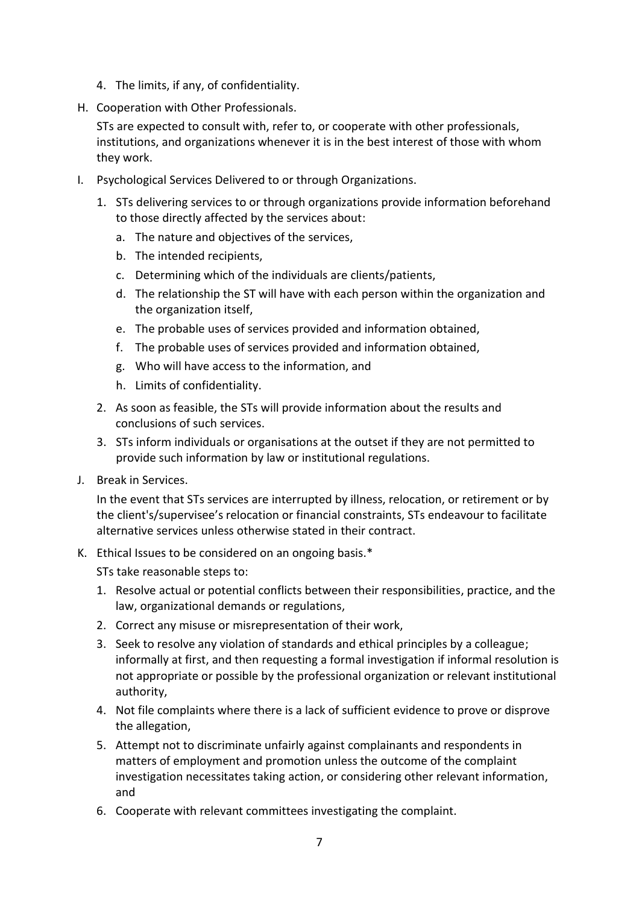- 4. The limits, if any, of confidentiality.
- H. Cooperation with Other Professionals.

STs are expected to consult with, refer to, or cooperate with other professionals, institutions, and organizations whenever it is in the best interest of those with whom they work.

- I. Psychological Services Delivered to or through Organizations.
	- 1. STs delivering services to or through organizations provide information beforehand to those directly affected by the services about:
		- a. The nature and objectives of the services,
		- b. The intended recipients,
		- c. Determining which of the individuals are clients/patients,
		- d. The relationship the ST will have with each person within the organization and the organization itself,
		- e. The probable uses of services provided and information obtained,
		- f. The probable uses of services provided and information obtained,
		- g. Who will have access to the information, and
		- h. Limits of confidentiality.
	- 2. As soon as feasible, the STs will provide information about the results and conclusions of such services.
	- 3. STs inform individuals or organisations at the outset if they are not permitted to provide such information by law or institutional regulations.
- J. Break in Services.

In the event that STs services are interrupted by illness, relocation, or retirement or by the client's/supervisee's relocation or financial constraints, STs endeavour to facilitate alternative services unless otherwise stated in their contract.

K. Ethical Issues to be considered on an ongoing basis.\*

STs take reasonable steps to:

- 1. Resolve actual or potential conflicts between their responsibilities, practice, and the law, organizational demands or regulations,
- 2. Correct any misuse or misrepresentation of their work,
- 3. Seek to resolve any violation of standards and ethical principles by a colleague; informally at first, and then requesting a formal investigation if informal resolution is not appropriate or possible by the professional organization or relevant institutional authority,
- 4. Not file complaints where there is a lack of sufficient evidence to prove or disprove the allegation,
- 5. Attempt not to discriminate unfairly against complainants and respondents in matters of employment and promotion unless the outcome of the complaint investigation necessitates taking action, or considering other relevant information, and
- 6. Cooperate with relevant committees investigating the complaint.